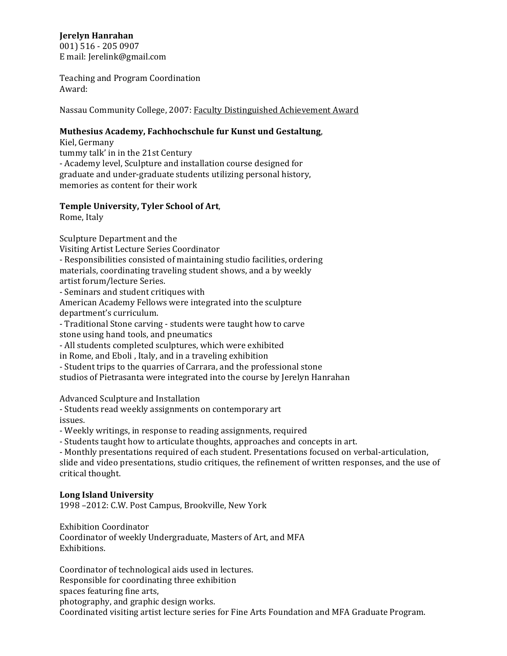# **Jerelyn'Hanrahan**

001) 516 - 205 0907 E mail: Jerelink@gmail.com

Teaching and Program Coordination Award:

Nassau Community College, 2007: Faculty Distinguished Achievement Award

#### Muthesius Academy, Fachhochschule fur Kunst und Gestaltung,

Kiel, Germany tummy talk' in in the 21st Century - Academy level, Sculpture and installation course designed for graduate and under-graduate students utilizing personal history, memories as content for their work

## Temple University, Tyler School of Art,

Rome, Italy

Sculpture Department and the

Visiting Artist Lecture Series Coordinator

- Responsibilities consisted of maintaining studio facilities, ordering materials, coordinating traveling student shows, and a by weekly artist forum/lecture Series.

- Seminars and student critiques with

American Academy Fellows were integrated into the sculpture department's curriculum.

- Traditional Stone carving - students were taught how to carve stone using hand tools, and pneumatics

- All students completed sculptures, which were exhibited

in Rome, and Eboli, Italy, and in a traveling exhibition

- Student trips to the quarries of Carrara, and the professional stone studios of Pietrasanta were integrated into the course by Jerelyn Hanrahan

Advanced Sculpture and Installation

- Students read weekly assignments on contemporary art issues.

- Weekly writings, in response to reading assignments, required

- Students taught how to articulate thoughts, approaches and concepts in art.

- Monthly presentations required of each student. Presentations focused on verbal-articulation, slide and video presentations, studio critiques, the refinement of written responses, and the use of critical thought.

## **Long'Island'University**

1998 -2012: C.W. Post Campus, Brookville, New York

Exhibition Coordinator Coordinator of weekly Undergraduate, Masters of Art, and MFA Exhibitions.

Coordinator of technological aids used in lectures. Responsible for coordinating three exhibition spaces featuring fine arts, photography, and graphic design works. Coordinated visiting artist lecture series for Fine Arts Foundation and MFA Graduate Program.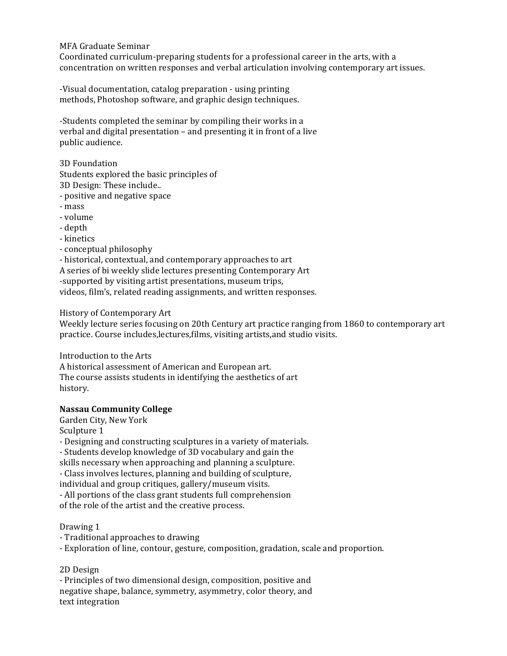#### MFA Graduate Seminar

Coordinated curriculum-preparing students for a professional career in the arts, with a concentration on written responses and verbal articulation involving contemporary art issues.

-Visual documentation, catalog preparation - using printing methods, Photoshop software, and graphic design techniques.

-Students completed the seminar by compiling their works in a verbal and digital presentation – and presenting it in front of a live public audience.

3D Foundation

Students explored the basic principles of

3D Design: These include..

- positive and negative space
- mass
- volume
- depth
- kinetics
- conceptual philosophy

- historical, contextual, and contemporary approaches to art A series of bi weekly slide lectures presenting Contemporary Art -supported by visiting artist presentations, museum trips, videos, film's, related reading assignments, and written responses.

History of Contemporary Art

Weekly lecture series focusing on 20th Century art practice ranging from 1860 to contemporary art practice. Course includes, lectures, films, visiting artists, and studio visits.

Introduction to the Arts A historical assessment of American and European art. The course assists students in identifying the aesthetics of art history.

## **Nassau'Community'College**

Garden City, New York Sculpture 1

- Designing and constructing sculptures in a variety of materials.

- Students develop knowledge of 3D vocabulary and gain the

skills necessary when approaching and planning a sculpture.

- Class involves lectures, planning and building of sculpture,

individual and group critiques, gallery/museum visits.

- All portions of the class grant students full comprehension

of the role of the artist and the creative process.

## Drawing 1

- Traditional approaches to drawing

- Exploration of line, contour, gesture, composition, gradation, scale and proportion.

## 2D Design

- Principles of two dimensional design, composition, positive and negative shape, balance, symmetry, asymmetry, color theory, and text integration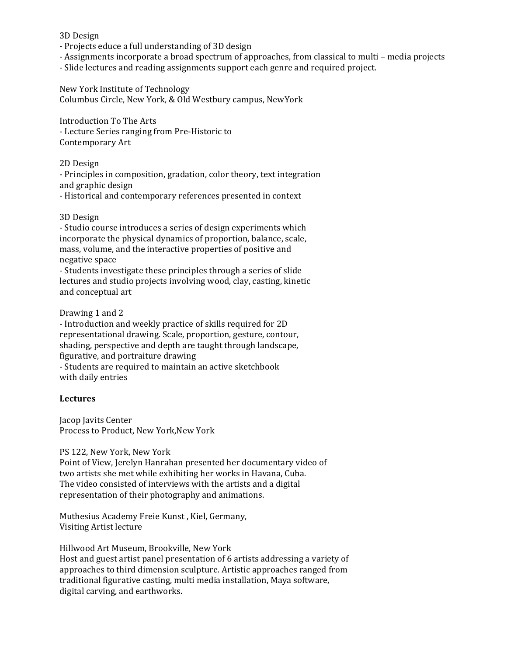3D Design

- Projects educe a full understanding of 3D design
- Assignments incorporate a broad spectrum of approaches, from classical to multi media projects
- Slide lectures and reading assignments support each genre and required project.

New York Institute of Technology Columbus Circle, New York, & Old Westbury campus, NewYork

Introduction To The Arts - Lecture Series ranging from Pre-Historic to Contemporary Art

2D Design

- Principles in composition, gradation, color theory, text integration and graphic design

- Historical and contemporary references presented in context

#### 3D Design

- Studio course introduces a series of design experiments which incorporate the physical dynamics of proportion, balance, scale, mass, volume, and the interactive properties of positive and negative space

- Students investigate these principles through a series of slide lectures and studio projects involving wood, clay, casting, kinetic and conceptual art

Drawing 1 and 2

- Introduction and weekly practice of skills required for 2D representational drawing. Scale, proportion, gesture, contour, shading, perspective and depth are taught through landscape, figurative, and portraiture drawing

- Students are required to maintain an active sketchbook with daily entries

## **Lectures**

Jacop Javits Center Process to Product, New York,New York

#### PS 122, New York, New York

Point of View, Jerelyn Hanrahan presented her documentary video of two artists she met while exhibiting her works in Havana, Cuba. The video consisted of interviews with the artists and a digital representation of their photography and animations.

Muthesius Academy Freie Kunst, Kiel, Germany, Visiting Artist lecture

Hillwood Art Museum, Brookville, New York Host and guest artist panel presentation of 6 artists addressing a variety of approaches to third dimension sculpture. Artistic approaches ranged from traditional figurative casting, multi media installation, Maya software, digital carving, and earthworks.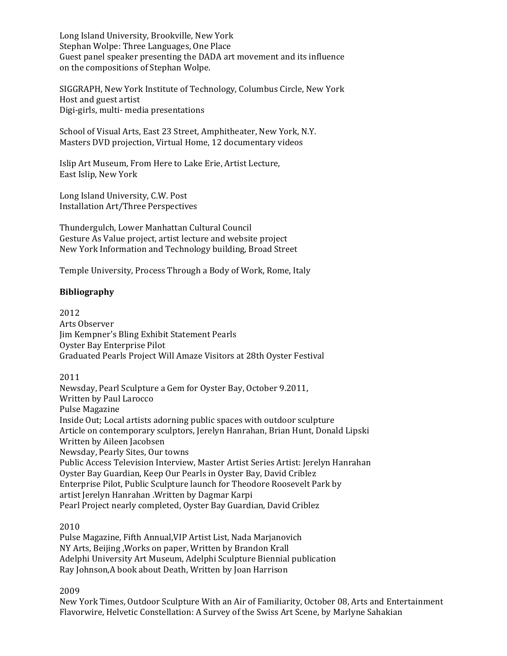Long Island University, Brookville, New York Stephan Wolpe: Three Languages, One Place Guest panel speaker presenting the DADA art movement and its influence on the compositions of Stephan Wolpe.

SIGGRAPH, New York Institute of Technology, Columbus Circle, New York Host and guest artist Digi-girls, multi- media presentations

School of Visual Arts, East 23 Street, Amphitheater, New York, N.Y. Masters DVD projection, Virtual Home, 12 documentary videos

Islip Art Museum, From Here to Lake Erie, Artist Lecture, East Islip, New York

Long Island University, C.W. Post Installation Art/Three Perspectives

Thundergulch, Lower Manhattan Cultural Council Gesture As Value project, artist lecture and website project New York Information and Technology building, Broad Street

Temple University, Process Through a Body of Work, Rome, Italy

## **Bibliography**

2012 Arts Observer Jim Kempner's Bling Exhibit Statement Pearls Oyster Bay Enterprise Pilot Graduated Pearls Project Will Amaze Visitors at 28th Oyster Festival

2011

Newsday, Pearl Sculpture a Gem for Oyster Bay, October 9.2011, Written by Paul Larocco Pulse Magazine Inside Out; Local artists adorning public spaces with outdoor sculpture Article on contemporary sculptors, Jerelyn Hanrahan, Brian Hunt, Donald Lipski Written by Aileen Jacobsen Newsday, Pearly Sites, Our towns Public Access Television Interview, Master Artist Series Artist: Jerelyn Hanrahan Oyster Bay Guardian, Keep Our Pearls in Oyster Bay, David Criblez Enterprise Pilot, Public Sculpture launch for Theodore Roosevelt Park by artist Jerelyn Hanrahan .Written by Dagmar Karpi Pearl Project nearly completed, Oyster Bay Guardian, David Criblez

2010

Pulse Magazine, Fifth Annual, VIP Artist List, Nada Marjanovich NY Arts, Beijing , Works on paper, Written by Brandon Krall Adelphi University Art Museum, Adelphi Sculpture Biennial publication Ray Johnson,A book about Death, Written by Joan Harrison

2009

New York Times, Outdoor Sculpture With an Air of Familiarity, October 08, Arts and Entertainment Flavorwire, Helvetic Constellation: A Survey of the Swiss Art Scene, by Marlyne Sahakian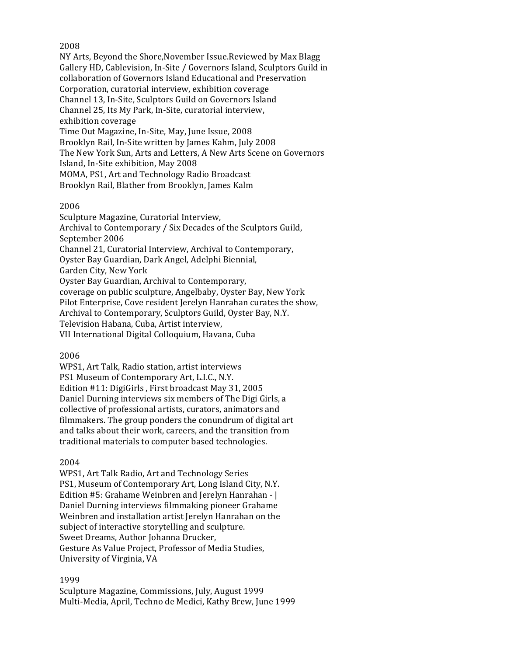#### 2008

NY Arts, Beyond the Shore, November Issue.Reviewed by Max Blagg Gallery HD, Cablevision, In-Site / Governors Island, Sculptors Guild in collaboration of Governors Island Educational and Preservation Corporation, curatorial interview, exhibition coverage Channel 13, In-Site, Sculptors Guild on Governors Island Channel 25, Its My Park, In-Site, curatorial interview, exhibition coverage Time Out Magazine, In-Site, May, June Issue, 2008 Brooklyn Rail, In-Site written by James Kahm, July 2008 The New York Sun, Arts and Letters, A New Arts Scene on Governors Island, In-Site exhibition, May 2008 MOMA, PS1, Art and Technology Radio Broadcast Brooklyn Rail, Blather from Brooklyn, James Kalm

#### 2006

Sculpture Magazine, Curatorial Interview, Archival to Contemporary / Six Decades of the Sculptors Guild, September 2006 Channel 21, Curatorial Interview, Archival to Contemporary, Oyster Bay Guardian, Dark Angel, Adelphi Biennial, Garden City, New York Oyster Bay Guardian, Archival to Contemporary, coverage on public sculpture, Angelbaby, Oyster Bay, New York Pilot Enterprise, Cove resident Jerelyn Hanrahan curates the show, Archival to Contemporary, Sculptors Guild, Oyster Bay, N.Y. Television Habana, Cuba, Artist interview, VII International Digital Colloquium, Havana, Cuba

2006

WPS1, Art Talk, Radio station, artist interviews PS1 Museum of Contemporary Art, L.I.C., N.Y. Edition  $#11$ : DigiGirls, First broadcast May 31, 2005 Daniel Durning interviews six members of The Digi Girls, a collective of professional artists, curators, animators and filmmakers. The group ponders the conundrum of digital art and talks about their work, careers, and the transition from traditional materials to computer based technologies.

2004

WPS1, Art Talk Radio, Art and Technology Series PS1, Museum of Contemporary Art, Long Island City, N.Y. Edition #5: Grahame Weinbren and Jerelyn Hanrahan -  $|$ Daniel Durning interviews filmmaking pioneer Grahame Weinbren and installation artist Jerelyn Hanrahan on the subject of interactive storytelling and sculpture. Sweet Dreams, Author Johanna Drucker, Gesture As Value Project, Professor of Media Studies, University of Virginia, VA

## 1999

Sculpture Magazine, Commissions, July, August 1999 Multi-Media, April, Techno de Medici, Kathy Brew, June 1999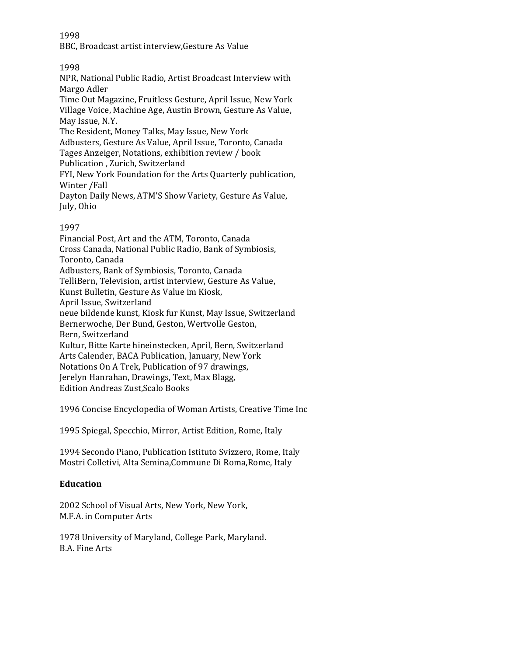1998

BBC, Broadcast artist interview, Gesture As Value

# 1998

NPR, National Public Radio, Artist Broadcast Interview with Margo Adler Time Out Magazine, Fruitless Gesture, April Issue, New York Village Voice, Machine Age, Austin Brown, Gesture As Value, May Issue, N.Y. The Resident, Money Talks, May Issue, New York Adbusters, Gesture As Value, April Issue, Toronto, Canada Tages Anzeiger, Notations, exhibition review / book Publication, Zurich, Switzerland FYI, New York Foundation for the Arts Quarterly publication, Winter / Fall Dayton Daily News, ATM'S Show Variety, Gesture As Value, July, Ohio

# 1997

Financial Post, Art and the ATM, Toronto, Canada Cross Canada, National Public Radio, Bank of Symbiosis, Toronto, Canada Adbusters, Bank of Symbiosis, Toronto, Canada TelliBern, Television, artist interview, Gesture As Value, Kunst Bulletin, Gesture As Value im Kiosk, April Issue, Switzerland neue bildende kunst, Kiosk fur Kunst, May Issue, Switzerland Bernerwoche, Der Bund, Geston, Wertvolle Geston, Bern, Switzerland Kultur, Bitte Karte hineinstecken, April, Bern, Switzerland Arts Calender, BACA Publication, January, New York Notations On A Trek, Publication of 97 drawings, Jerelyn Hanrahan, Drawings, Text, Max Blagg, Edition Andreas Zust, Scalo Books

1996 Concise Encyclopedia of Woman Artists, Creative Time Inc

1995 Spiegal, Specchio, Mirror, Artist Edition, Rome, Italy

1994 Secondo Piano, Publication Istituto Svizzero, Rome, Italy Mostri Colletivi, Alta Semina,Commune Di Roma,Rome, Italy

## **Education**

2002 School of Visual Arts, New York, New York, M.F.A. in Computer Arts

1978 University of Maryland, College Park, Maryland. B.A. Fine Arts